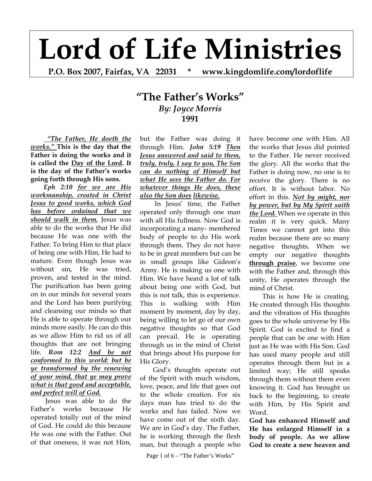## **Lord of Life Ministries**

**P.O. Box 2007, Fairfax, VA 22031 \* www.kingdomlife.com/lordoflife** 

## **"The Father's Works"** *By: Joyce Morris* **1991**

 *"The Father, He doeth the works."* **This is the day that the Father is doing the works and it is called the Day of the Lord. It is the day of the Father's works going forth through His sons.** 

*Eph 2:10 for we are His workmanship, created in Christ Jesus to good works, which God has before ordained that we should walk in them.* Jesus was able to do the works that He did because He was one with the Father. To bring Him to that place of being one with Him, He had to mature. Even though Jesus was without sin, He was tried, proven, and tested in the mind. The purification has been going on in our minds for several years and the Lord has been purifying and cleansing our minds so that He is able to operate through our minds more easily. He can do this as we allow Him to rid us of all thoughts that are not bringing life. *Rom 12:2 And be not conformed to this world: but be ye transformed by the renewing of your mind, that ye may prove what is that good and acceptable, and perfect will of God.*

 Jesus was able to do the Father's works because He operated totally out of the mind of God. He could do this because He was one with the Father. Out of that oneness, it was not Him,

but the Father was doing it through Him. *John 5:19 Then Jesus answered and said to them, truly, truly, I say to you, The Son can do nothing of Himself but what He sees the Father do. For whatever things He does, these also the Son does likewise.*

 In Jesus' time, the Father operated only through one man with all His fullness. Now God is incorporating a many- membered body of people to do His work through them. They do not have to be in great members but can be in small groups like Gideon's Army. He is making us one with Him. We have heard a lot of talk about being one with God, but this is not talk, this is experience. This is walking with Him moment by moment, day by day, being willing to let go of our own negative thoughts so that God can prevail. He is operating through us in the mind of Christ that brings about His purpose for His Glory.

God's thoughts operate out of the Spirit with much wisdom, love, peace, and life that goes out to the whole creation. For six days man has tried to do the works and has failed. Now we have come out of the sixth day. We are in God's day. The Father, he is working through the flesh man, but through a people who

Page 1 of  $6 -$  "The Father's Works"

have become one with Him. All the works that Jesus did pointed to the Father. He never received the glory. All the works that the Father is doing now, no one is to receive the glory. There is no effort. It is without labor. No effort in this. *Not by might, nor by power, but by My Spirit saith the Lord.* When we operate in this realm it is very quick. Many Times we cannot get into this realm because there are so many negative thoughts. When we empty our negative thoughts **through praise**, we become one with the Father and, through this unity, He operates through the mind of Christ.

This is how He is creating. He created through His thoughts and the vibration of His thoughts goes to the whole universe by His Spirit. God is excited to find a people that can be one with Him just as He was with His Son. God has used many people and still operates through them but in a limited way; He still speaks through them without them even knowing it. God has brought us back to the beginning, to create with Him, by His Spirit and Word.

**God has enhanced Himself and He has enlarged Himself in a body of people. As we allow God to create a new heaven and**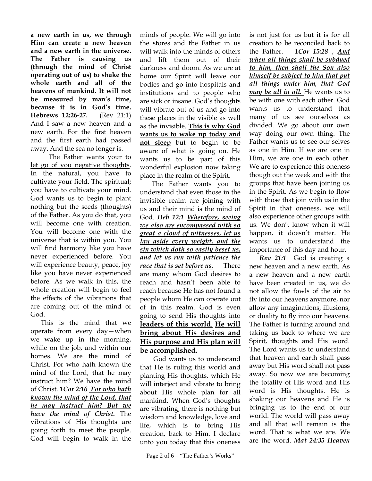**a new earth in us, we through Him can create a new heaven and a new earth in the universe. The Father is causing us (through the mind of Christ operating out of us) to shake the whole earth and all of the heavens of mankind. It will not be measured by man's time, because it is in God's time. Hebrews 12:26-27.** (Rev 21:1) And I saw a new heaven and a new earth. For the first heaven and the first earth had passed away. And the sea no longer is.

 The Father wants your to let go of you negative thoughts. In the natural, you have to cultivate your field. The spiritual; you have to cultivate your mind. God wants us to begin to plant nothing but the seeds (thoughts) of the Father. As you do that, you will become one with creation. You will become one with the universe that is within you. You will find harmony like you have never experienced before. You will experience beauty, peace, joy like you have never experienced before. As we walk in this, the whole creation will begin to feel the effects of the vibrations that are coming out of the mind of God.

 This is the mind that we operate from every day—when we wake up in the morning, while on the job, and within our homes. We are the mind of Christ. For who hath known the mind of the Lord, that he may instruct him? We have the mind of Christ. *1Cor 2:16 For who hath known the mind of the Lord, that he may instruct him? But we have the mind of Christ.* The vibrations of His thoughts are going forth to meet the people. God will begin to walk in the

minds of people. We will go into the stores and the Father in us will walk into the minds of others and lift them out of their darkness and doom. As we are at home our Spirit will leave our bodies and go into hospitals and institutions and to people who are sick or insane. God's thoughts will vibrate out of us and go into these places in the visible as well as the invisible. **This is why God wants us to wake up today and not sleep** but to begin to be aware of what is going on. He wants us to be part of this wonderful explosion now taking place in the realm of the Spirit.

 The Father wants you to understand that even those in the invisible realm are joining with us and their mind is the mind of God. *Heb 12:1 Wherefore, seeing we also are encompassed with so great a cloud of witnesses, let us lay aside every weight, and the sin which doth so easily beset us, and let us run with patience the race that is set before us.*There are many whom God desires to reach and hasn't been able to reach because He has not found a people whom He can operate out of in this realm. God is even going to send His thoughts into **leaders of this world**. **He will bring about His desires and His purpose and His plan will be accomplished.**

God wants us to understand that He is ruling this world and planting His thoughts, which He will interject and vibrate to bring about His whole plan for all mankind. When God's thoughts are vibrating, there is nothing but wisdom and knowledge, love and life, which is to bring His creation, back to Him. I declare unto you today that this oneness

is not just for us but it is for all creation to be reconciled back to the Father. *1Cor 15:28* , *And when all things shall be subdued to him, then shall the Son also himself be subject to him that put all things under him, that God may be all in all.* He wants us to be with one with each other. God wants us to understand that many of us see ourselves as divided. We go about our own way doing our own thing. The Father wants us to see our selves as one in Him. If we are one in Him, we are one in each other. We are to experience this oneness though out the week and with the groups that have been joining us in the Spirit. As we begin to flow with those that join with us in the Spirit in that oneness, we will also experience other groups with us. We don't know when it will happen, it doesn't matter. He wants us to understand the importance of this day and hour.

 *Rev 21:1* God is creating a new heaven and a new earth. As a new heaven and a new earth have been created in us, we do not allow the fowls of the air to fly into our heavens anymore, nor allow any imaginations, illusions, or duality to fly into our heavens. The Father is turning around and taking us back to where we are Spirit, thoughts and His word. The Lord wants us to understand that heaven and earth shall pass away but His word shall not pass away. So now we are becoming the totality of His word and His word is His thoughts. He is shaking our heavens and He is bringing us to the end of our world. The world will pass away and all that will remain is the word. That is what we are. We are the word. *Mat 24:35 Heaven*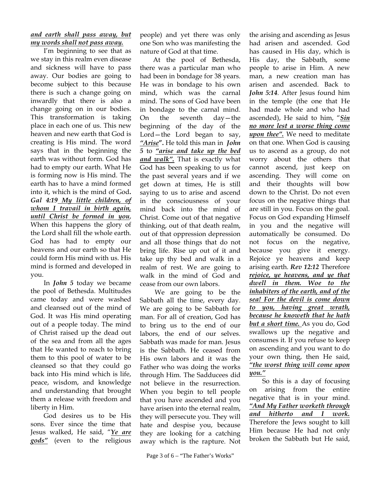## *and earth shall pass away, but my words shall not pass away.*

I'm beginning to see that as we stay in this realm even disease and sickness will have to pass away. Our bodies are going to become subject to this because there is such a change going on inwardly that there is also a change going on in our bodies. This transformation is taking place in each one of us. This new heaven and new earth that God is creating is His mind. The word says that in the beginning the earth was without form. God has had to empty our earth. What He is forming now is His mind. The earth has to have a mind formed into it, which is the mind of God**.** *Gal 4:19 My little children, of whom I travail in birth again, until Christ be formed in you*, When this happens the glory of the Lord shall fill the whole earth. God has had to empty our heavens and our earth so that He could form His mind with us. His mind is formed and developed in you.

In *John 5* today we became the pool of Bethesda. Multitudes came today and were washed and cleansed out of the mind of God. It was His mind operating out of a people today. The mind of Christ raised up the dead out of the sea and from all the ages that He wanted to reach to bring them to this pool of water to be cleansed so that they could go back into His mind which is life, peace, wisdom, and knowledge and understanding that brought them a release with freedom and liberty in Him.

God desires us to be His sons. Ever since the time that Jesus walked, He said, "*Ye are gods"* (even to the religious

people) and yet there was only one Son who was manifesting the nature of God at that time.

At the pool of Bethesda, there was a particular man who had been in bondage for 38 years. He was in bondage to his own mind, which was the carnal mind. The sons of God have been in bondage to the carnal mind. On the seventh day—the beginning of the day of the Lord—the Lord began to say, *"Arise***".** He told this man in *John 5* to *"arise and take up the bed and walk".* That is exactly what God has been speaking to us for the past several years and if we get down at times, He is still saying to us to arise and ascend in the consciousness of your mind back into the mind of Christ. Come out of that negative thinking, out of that death realm, out of that oppression depression and all those things that do not bring life. Rise up out of it and take up thy bed and walk in a realm of rest. We are going to walk in the mind of God and cease from our own labors.

 We are going to be the Sabbath all the time, every day. We are going to be Sabbath for man. For all of creation, God has to bring us to the end of our labors, the end of our selves. Sabbath was made for man. Jesus is the Sabbath. He ceased from His own labors and it was the Father who was doing the works through Him. The Sadducees did not believe in the resurrection. When you begin to tell people that you have ascended and you have arisen into the eternal realm, they will persecute you. They will hate and despise you, because they are looking for a catching away which is the rapture. Not

the arising and ascending as Jesus had arisen and ascended. God has caused in His day, which is His day, the Sabbath, some people to arise in Him. A new man, a new creation man has arisen and ascended. Back to *John 5:14.* After Jesus found him in the temple (the one that He had made whole and who had ascended), He said to him, "*Sin no more lest a worse thing come upon thee".* We need to meditate on that one. When God is causing us to ascend as a group, do not worry about the others that cannot ascend, just keep on ascending. They will come on and their thoughts will bow down to the Christ. Do not even focus on the negative things that are still in you. Focus on the goal. Focus on God expanding Himself in you and the negative will automatically be consumed. Do not focus on the negative, because you give it energy. Rejoice ye heavens and keep arising earth. *Rev 12:12* Therefore *rejoice, ye heavens, and ye that dwell in them. Woe to the inhabiters of the earth, and of the sea! For the devil is come down to you, having great wrath, because he knoweth that he hath but a short time.* As you do, God swallows up the negative and consumes it. If you refuse to keep on ascending and you want to do your own thing, then He said, *"the worst thing will come upon you."*

So this is a day of focusing on arising from the entire negative that is in your mind. *"And My Father worketh through and hitherto and I work.* Therefore the Jews sought to kill Him because He had not only broken the Sabbath but He said,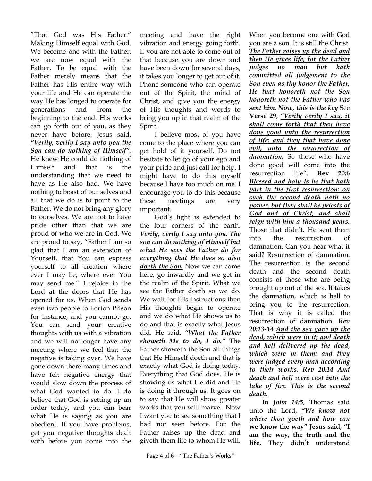"That God was His Father." Making Himself equal with God. We become one with the Father, we are now equal with the Father. To be equal with the Father merely means that the Father has His entire way with your life and He can operate the way He has longed to operate for generations and from the beginning to the end. His works can go forth out of you, as they never have before. Jesus said, *"Verily, verily I say unto you the Son can do nothing of Himself".* He knew He could do nothing of Himself and that is the understanding that we need to have as He also had. We have nothing to boast of our selves and all that we do is to point to the Father. We do not bring any glory to ourselves. We are not to have pride other than that we are proud of who we are in God. We are proud to say, "Father I am so glad that I am an extension of Yourself, that You can express yourself to all creation where ever I may be, where ever You may send me." I rejoice in the Lord at the doors that He has opened for us. When God sends even two people to Lorton Prison for instance, and you cannot go. You can send your creative thoughts with us with a vibration and we will no longer have any meeting where we feel that the negative is taking over. We have gone down there many times and have felt negative energy that would slow down the process of what God wanted to do. I do believe that God is setting up an order today, and you can bear what He is saying as you are obedient. If you have problems, get you negative thoughts dealt with before you come into the

meeting and have the right vibration and energy going forth. If you are not able to come out of that because you are down and have been down for several days, it takes you longer to get out of it. Phone someone who can operate out of the Spirit, the mind of Christ, and give you the energy of His thoughts and words to bring you up in that realm of the Spirit.

 I believe most of you have come to the place where you can get hold of it yourself. Do not hesitate to let go of your ego and your pride and just call for help. I might have to do this myself because I have too much on me. I encourage you to do this because these meetings are very important.

 God's light is extended to the four corners of the earth. *Verily, verily I say unto you. The son can do nothing of Himself but what He sees the Father do for everything that He does so also doeth the Son.* Now we can come here, go inwardly and we get in the realm of the Spirit. What we see the Father doeth so we do. We wait for His instructions then His thoughts begin to operate and we do what He shows us to do and that is exactly what Jesus did. He said, *"What the Father showeth Me to do, I do."* The Father showeth the Son all things that He Himself doeth and that is exactly what God is doing today. Everything that God does, He is showing us what He did and He is doing it through us. It goes on to say that He will show greater works that you will marvel. Now I want you to see something that I had not seen before. For the Father raises up the dead and giveth them life to whom He will.

When you become one with God you are a son. It is still the Christ. *The Father raises up the dead and then He gives life, for the Father judges no man but hath committed all judgement to the Son even as thy honor the Father, He that honoreth not the Son honoreth not the Father who has sent him. Now, this is the key* See **Verse 29**, *"Verily verily I say, it shall come forth that they have done good unto the resurrection of life; and they that have done evil, unto the resurrection of damnation.* So those who have done good will come into the resurrection life". **Rev 20:6** *Blessed and holy is he that hath part in the first resurrection: on such the second death hath no power, but they shall be priests of God and of Christ, and shall reign with him a thousand years.* Those that didn't, He sent them into the resurrection of damnation. Can you hear what it said? Resurrection of damnation. The resurrection is the second death and the second death consists of those who are being brought up out of the sea. It takes the damnation, which is hell to bring you to the resurrection. That is why it is called the resurrection of damnation. *Rev 20:13-14 And the sea gave up the dead, which were in it; and death and hell delivered up the dead*, *which were in them: and they were judged every man according to their works. Rev 20:14 And death and hell were cast into the lake of fire. This is the second death.* 

In *John 14:5*, Thomas said unto the Lord, *"We know not where thou goeth and how can* **we know the way" Jesus said, "I am the way, the truth and the life.** They didn't understand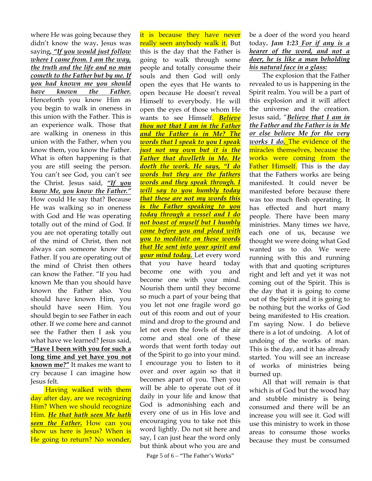where He was going because they didn't know the way**.** Jesus was saying*, "If you would just follow where I came from. I am the way, the truth and the life and no man cometh to the Father but by me. If you had known me you should have known the Father.*  Henceforth you know Him as you begin to walk in oneness in this union with the Father. This is an experience walk. Those that are walking in oneness in this union with the Father, when you know them, you know the Father. What is often happening is that you are still seeing the person. You can't see God, you can't see the Christ. Jesus said, *"If you know Me, you know the Father."* How could He say that? Because He was walking so in oneness with God and He was operating totally out of the mind of God. If you are not operating totally out of the mind of Christ, then not always can someone know the Father. If you are operating out of the mind of Christ then others can know the Father. "If you had known Me than you should have known the Father also. You should have known Him, you should have seen Him. You should begin to see Father in each other. If we come here and cannot see the Father then I ask you what have we learned? Jesus said, **"Have I been with you for such a long time and yet have you not known me?"** It makes me want to cry because I can imagine how Jesus felt.

 Having walked with them day after day, are we recognizing Him? When we should recognize Him. *He that hath seen Me hath seen the Father***.** How can you show us here is Jesus? When is He going to return? No wonder,

it is because they have never really seen anybody walk it. But this is the day that the Father is going to walk through some people and totally consume their souls and then God will only open the eyes that He wants to open because He doesn't reveal Himself to everybody. He will open the eyes of those whom He wants to see Himself. *Believe thou not that I am in the Father and the Father is in Me? The words that I speak to you I speak just not my own but it is the Father that dwelleth in Me. He doeth the work. He says, "I do words but they are the fathers words and they speak through. I will say to you humbly today that these are not my words this is the Father speaking to you today through a vessel and I do not boast of myself but I humbly come before you and plead with you to meditate on these words that He sent into your spirit and your mind today.* Let every word that you have heard today become one with you and become one with your mind. Nourish them until they become so much a part of your being that you let not one fragile word go out of this room and out of your mind and drop to the ground and let not even the fowls of the air come and steal one of these words that went forth today out of the Spirit to go into your mind. I encourage you to listen to it over and over again so that it becomes apart of you. Then you will be able to operate out of it daily in your life and know that God is admonishing each and every one of us in His love and encouraging you to take not this word lightly. Do not sit here and say, I can just hear the word only but think about who you are and

Page 5 of 6 – "The Father's Works"

be a doer of the word you heard today**.** *Jam 1:23 For if any is a hearer of the word, and not a doer, he is like a man beholding his natural face in a glass:* 

The explosion that the Father revealed to us is happening in the Spirit realm. You will be a part of this explosion and it will affect the universe and the creation. Jesus said, "*Believe that I am in the Father and the Father is in Me or else believe Me for the very works I do.* The evidence of the miracles themselves, because the works were coming from the Father Himself. This is the day that the Fathers works are being manifested. It could never be manifested before because there was too much flesh operating. It has effected and hurt many people. There have been many ministries. Many times we have, each one of us, because we thought we were doing what God wanted us to do. We were running with this and running with that and quoting scriptures right and left and yet it was not coming out of the Spirit. This is the day that it is going to come out of the Spirit and it is going to be nothing but the works of God being manifested to His creation. I'm saying Now. I do believe there is a lot of undoing. A lot of undoing of the works of man. This is the day, and it has already started. You will see an increase of works of ministries being burned up.

All that will remain is that which is of God but the wood hay and stubble ministry is being consumed and there will be an increase you will see it. God will use this ministry to work in those areas to consume those works because they must be consumed